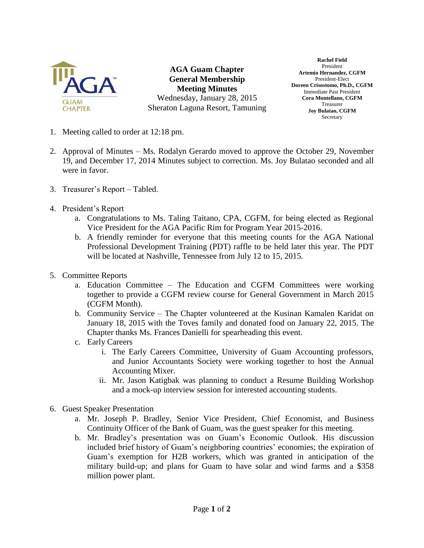

**AGA Guam Chapter General Membership Meeting Minutes** Wednesday, January 28, 2015 Sheraton Laguna Resort, Tamuning

**Rachel Field** President **Artemio Hernandez, CGFM** President-Elect **Doreen Crisostomo, Ph.D., CGFM** Immediate Past President **Cora Montellano, CGFM** Treasurer **Joy Bulatao, CGFM Secretary** 

- 1. Meeting called to order at 12:18 pm.
- 2. Approval of Minutes Ms. Rodalyn Gerardo moved to approve the October 29, November 19, and December 17, 2014 Minutes subject to correction. Ms. Joy Bulatao seconded and all were in favor.
- 3. Treasurer's Report Tabled.
- 4. President's Report
	- a. Congratulations to Ms. Taling Taitano, CPA, CGFM, for being elected as Regional Vice President for the AGA Pacific Rim for Program Year 2015-2016.
	- b. A friendly reminder for everyone that this meeting counts for the AGA National Professional Development Training (PDT) raffle to be held later this year. The PDT will be located at Nashville, Tennessee from July 12 to 15, 2015.
- 5. Committee Reports
	- a. Education Committee The Education and CGFM Committees were working together to provide a CGFM review course for General Government in March 2015 (CGFM Month).
	- b. Community Service The Chapter volunteered at the Kusinan Kamalen Karidat on January 18, 2015 with the Toves family and donated food on January 22, 2015. The Chapter thanks Ms. Frances Danielli for spearheading this event.
	- c. Early Careers
		- i. The Early Careers Committee, University of Guam Accounting professors, and Junior Accountants Society were working together to host the Annual Accounting Mixer.
		- ii. Mr. Jason Katigbak was planning to conduct a Resume Building Workshop and a mock-up interview session for interested accounting students.
- 6. Guest Speaker Presentation
	- a. Mr. Joseph P. Bradley, Senior Vice President, Chief Economist, and Business Continuity Officer of the Bank of Guam, was the guest speaker for this meeting.
	- b. Mr. Bradley's presentation was on Guam's Economic Outlook. His discussion included brief history of Guam's neighboring countries' economies; the expiration of Guam's exemption for H2B workers, which was granted in anticipation of the military build-up; and plans for Guam to have solar and wind farms and a \$358 million power plant.